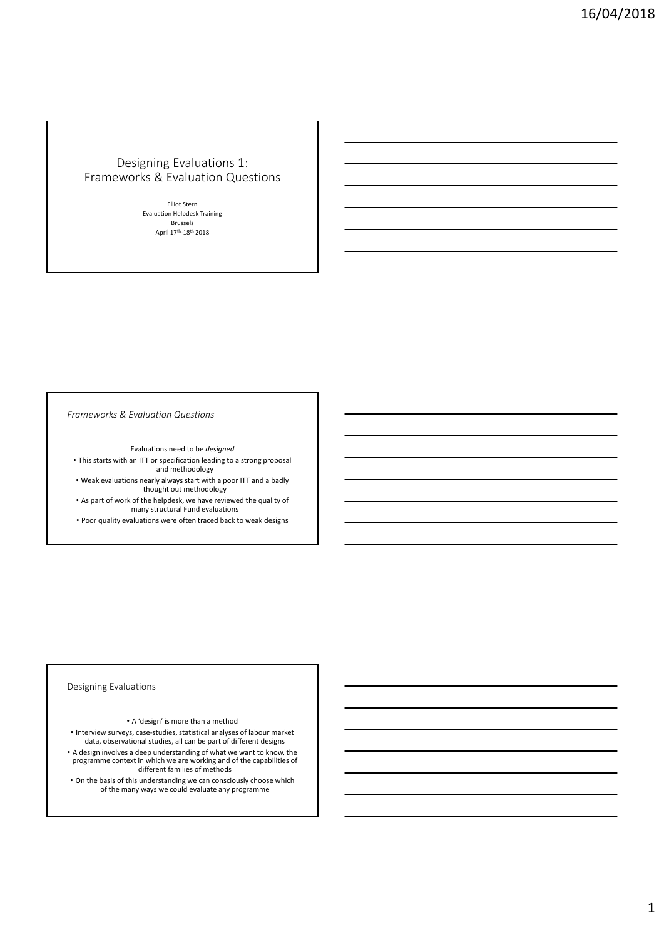# Designing Evaluations 1: Frameworks & Evaluation Questions

Elliot Stern Evaluation Helpdesk Training Brussels April 17<sup>th</sup>-18<sup>th</sup> 2018

*Frameworks & Evaluation Questions*

Evaluations need to be *designed*

- This starts with an ITT or specification leading to a strong proposal and methodology
- Weak evaluations nearly always start with a poor ITT and a badly thought out methodology • As part of work of the helpdesk, we have reviewed the quality of

many structural Fund evaluations

• Poor quality evaluations were often traced back to weak designs

## Designing Evaluations

#### • A 'design' is more than a method

• Interview surveys, case‐studies, statistical analyses of labour market data, observational studies, all can be part of different designs

• A design involves a deep understanding of what we want to know, the programme context in which we are working and of the capabilities of different families of methods

• On the basis of this understanding we can consciously choose which of the many ways we could evaluate any programme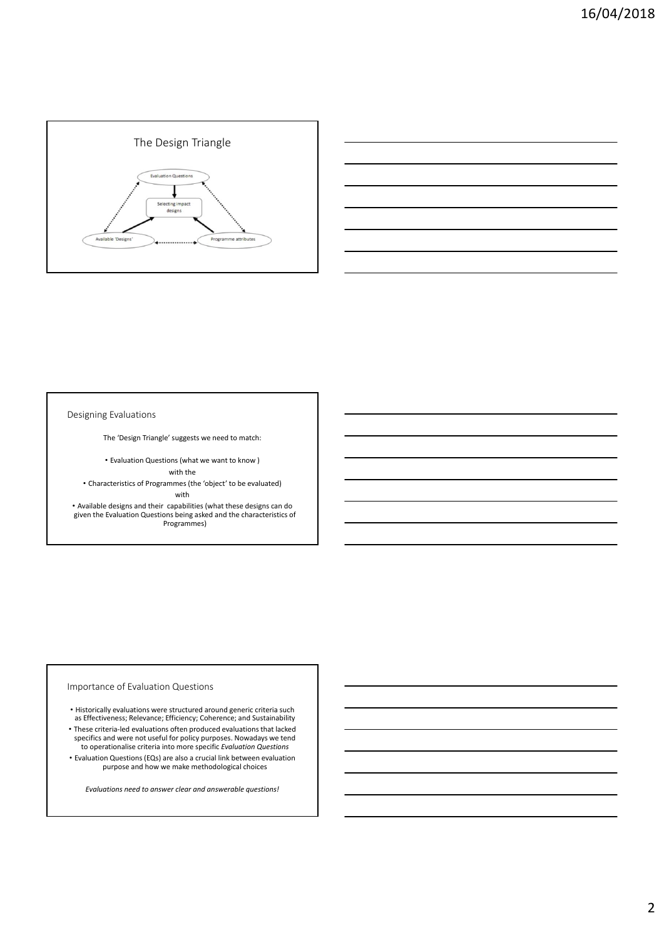



Designing Evaluations

The 'Design Triangle' suggests we need to match:

• Evaluation Questions (what we want to know )

with the

• Characteristics of Programmes (the 'object' to be evaluated)

with

• Available designs and their capabilities (what these designs can do given the Evaluation Questions being asked and the characteristics of Programmes)

## Importance of Evaluation Questions

- Historically evaluations were structured around generic criteria such as Effectiveness; Relevance; Efficiency; Coherence; and Sustainability
- These criteria‐led evaluations often produced evaluations that lacked specifics and were not useful for policy purposes. Nowadays we tend to operationalise criteria into more specific *Evaluation Questions*
- Evaluation Questions (EQs) are also a crucial link between evaluation purpose and how we make methodological choices

*Evaluations need to answer clear and answerable questions!*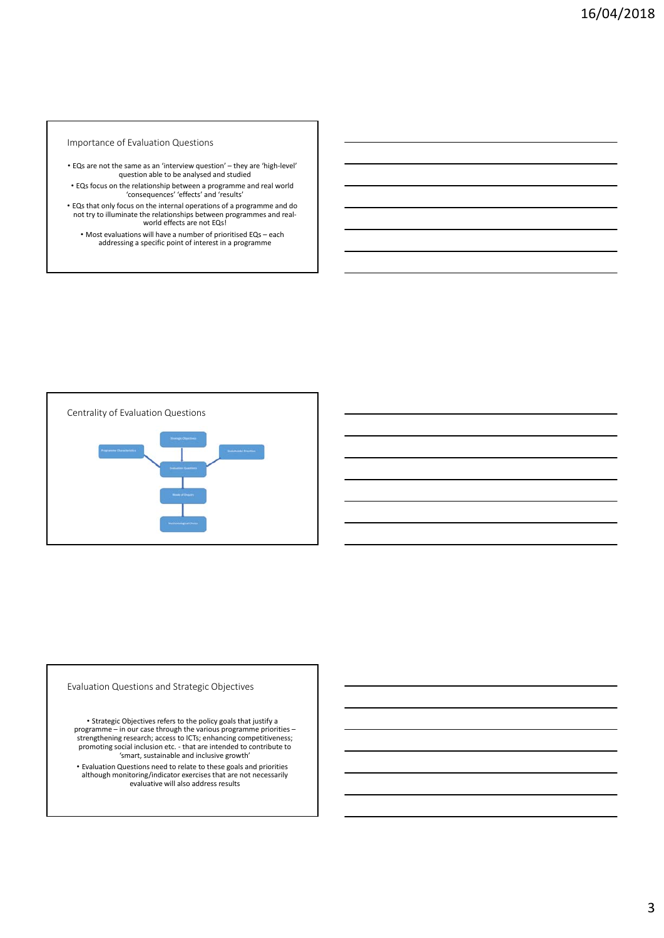### Importance of Evaluation Questions

- EQs are not the same as an 'interview question' they are 'high‐level' question able to be analysed and studied
- EQs focus on the relationship between a programme and real world 'consequences' 'effects' and 'results'
- EQs that only focus on the internal operations of a programme and do not try to illuminate the relationships between programmes and real‐ world effects are not EQs!
	- Most evaluations will have a number of prioritised EQs each addressing a specific point of interest in a programme



Evaluation Questions and Strategic Objectives

• Strategic Objectives refers to the policy goals that justify a programme – in our case through the various programme priorities – strengthening research; access to ICTs; enhancing competitiveness; promoting social inclusion etc. ‐ that are intended to contribute to 'smart, sustainable and inclusive growth'

• Evaluation Questions need to relate to these goals and priorities although monitoring/indicator exercises that are not necessarily evaluative will also address results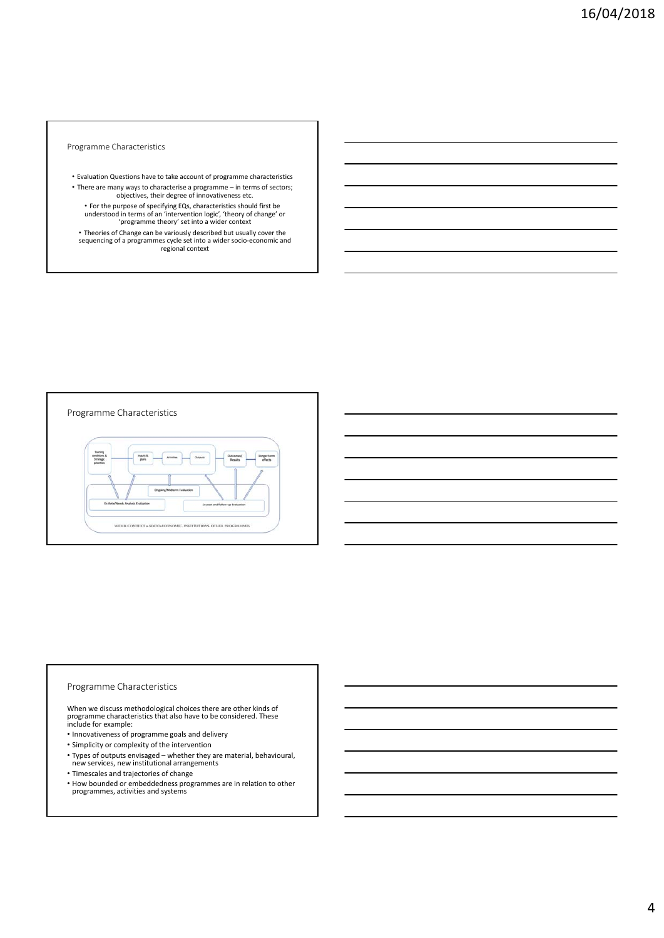Programme Characteristics

- Evaluation Questions have to take account of programme characteristics • There are many ways to characterise a programme – in terms of sectors;
	- objectives, their degree of innovativeness etc.
	- For the purpose of specifying EQs, characteristics should first be understood in terms of an 'intervention logic', 'theory of change' or 'programme theory' set into a wider context
- Theories of Change can be variously described but usually cover the sequencing of a programmes cycle set into a wider socio‐economic and regional context



## Programme Characteristics

When we discuss methodological choices there are other kinds of programme characteristics that also have to be considered. These include for example:

- Innovativeness of programme goals and delivery
- Simplicity or complexity of the intervention
- Types of outputs envisaged whether they are material, behavioural, new services, new institutional arrangements
- Timescales and trajectories of change
- How bounded or embeddedness programmes are in relation to other programmes, activities and systems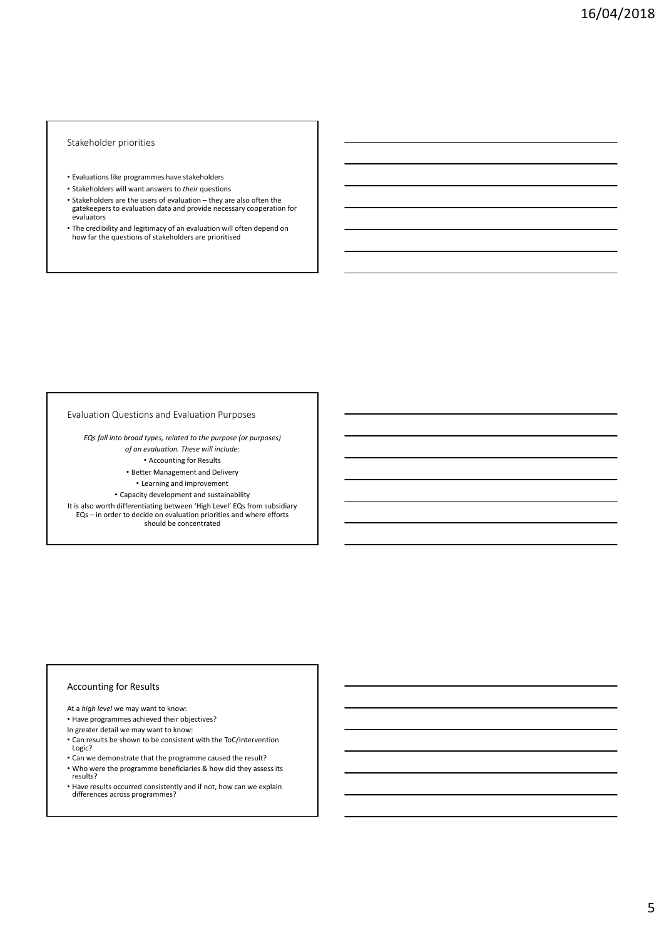#### Stakeholder priorities

- Evaluations like programmes have stakeholders
- Stakeholders will want answers to *their* questions
- Stakeholders are the users of evaluation they are also often the gatekeepers to evaluation data and provide necessary cooperation for evaluators
- The credibility and legitimacy of an evaluation will often depend on how far the questions of stakeholders are prioritised

#### Evaluation Questions and Evaluation Purposes

*EQs fall into broad types, related to the purpose (or purposes) of an evaluation. These will include:*

• Accounting for Results

• Better Management and Delivery

• Learning and improvement

• Capacity development and sustainability

It is also worth differentiating between 'High Level' EQs from subsidiary EQs – in order to decide on evaluation priorities and where efforts should be concentrated

## Accounting for Results

At a *high level* we may want to know:

• Have programmes achieved their objectives?

In greater detail we may want to know:

- Can results be shown to be consistent with the ToC/Intervention Logic?
- Can we demonstrate that the programme caused the result? • Who were the programme beneficiaries & how did they assess its results?
- Have results occurred consistently and if not, how can we explain differences across programmes?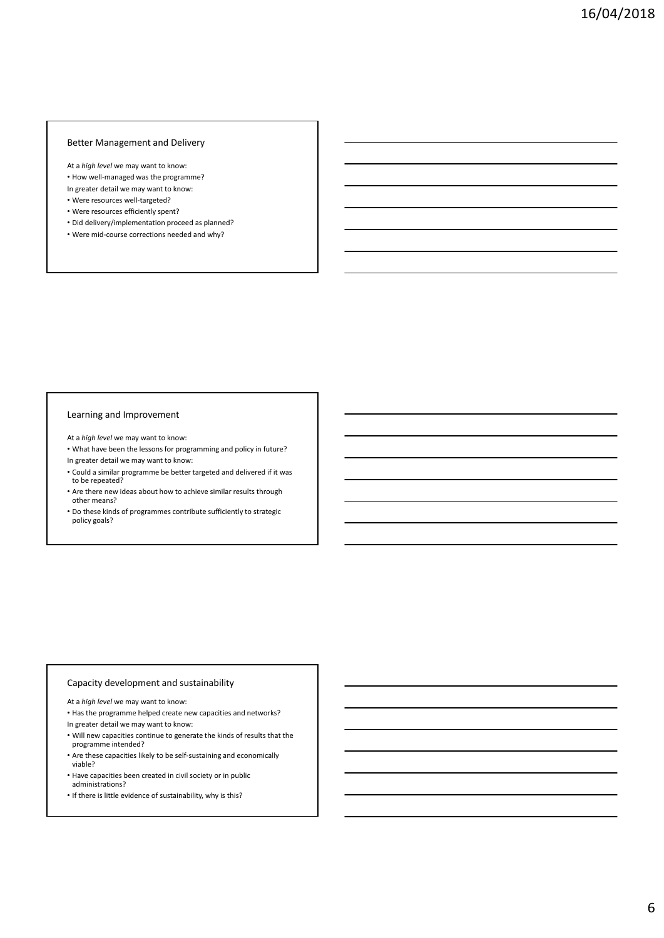## Better Management and Delivery

At a *high level* we may want to know:

- How well‐managed was the programme?
- In greater detail we may want to know:
- Were resources well‐targeted?
- Were resources efficiently spent?
- Did delivery/implementation proceed as planned?
- Were mid‐course corrections needed and why?

## Learning and Improvement

- At a *high level* we may want to know:
- What have been the lessons for programming and policy in future? In greater detail we may want to know:
- Could a similar programme be better targeted and delivered if it was to be repeated?
- Are there new ideas about how to achieve similar results through other means?
- Do these kinds of programmes contribute sufficiently to strategic policy goals?

## Capacity development and sustainability

- At a *high level* we may want to know:
- Has the programme helped create new capacities and networks?
- In greater detail we may want to know:
- Will new capacities continue to generate the kinds of results that the programme intended?
- Are these capacities likely to be self‐sustaining and economically viable?
- Have capacities been created in civil society or in public administrations?
- If there is little evidence of sustainability, why is this?